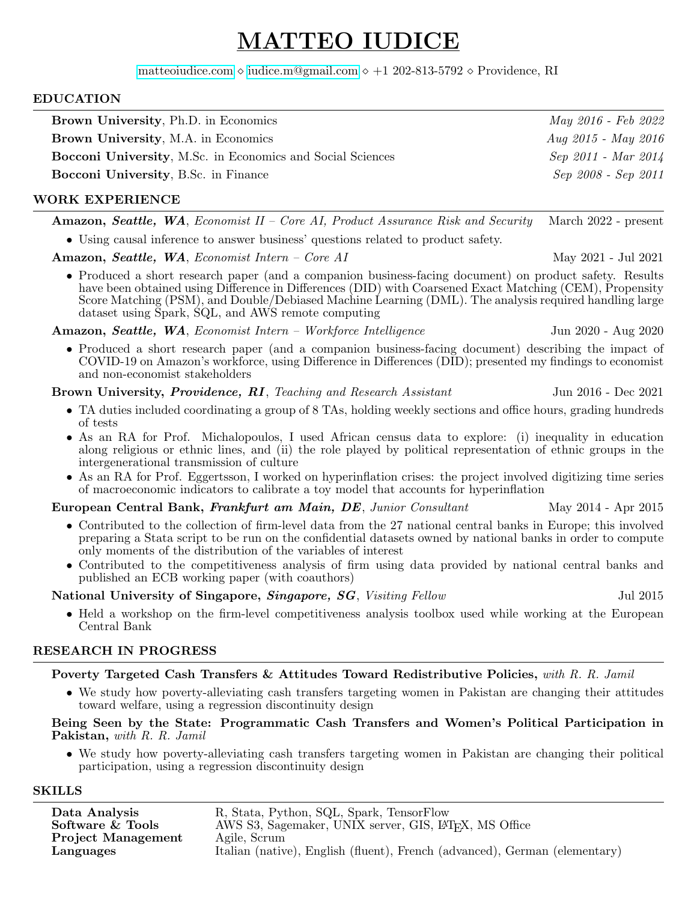# MATTEO IUDICE

[matteoiudice.com](www.matteoiudice.com) ◇ [iudice.m@gmail.com](mailto:iudice.m@gmail.com) ◇ +1 202-813-5792 ◇ Providence, RI

#### EDUCATION

| <b>Brown University, Ph.D. in Economics</b>                | May 2016 - Feb 2022   |
|------------------------------------------------------------|-----------------------|
| <b>Brown University, M.A. in Economics</b>                 | $Aug 2015 - May 2016$ |
| Bocconi University, M.Sc. in Economics and Social Sciences | Sep 2011 - Mar 2014   |
| <b>Bocconi University, B.Sc. in Finance</b>                | Sep 2008 - Sep 2011   |
|                                                            |                       |

#### WORK EXPERIENCE

Amazon, Seattle, WA, Economist II – Core AI, Product Assurance Risk and Security March 2022 - present

• Using causal inference to answer business' questions related to product safety.

Amazon, Seattle, WA, Economist Intern – Core AI May 2021 - Jul 2021

• Produced a short research paper (and a companion business-facing document) on product safety. Results have been obtained using Difference in Differences (DID) with Coarsened Exact Matching (CEM), Propensity Score Matching (PSM), and Double/Debiased Machine Learning (DML). The analysis required handling large dataset using Spark, SQL, and AWS remote computing

Amazon, Seattle, WA, Economist Intern – Workforce Intelligence Jun 2020 - Aug 2020

• Produced a short research paper (and a companion business-facing document) describing the impact of COVID-19 on Amazon's workforce, using Difference in Differences (DID); presented my findings to economist and non-economist stakeholders

Brown University, *Providence, RI*, *Teaching and Research Assistant* Jun 2016 - Dec 2021

- TA duties included coordinating a group of 8 TAs, holding weekly sections and office hours, grading hundreds of tests
- As an RA for Prof. Michalopoulos, I used African census data to explore: (i) inequality in education along religious or ethnic lines, and (ii) the role played by political representation of ethnic groups in the intergenerational transmission of culture
- As an RA for Prof. Eggertsson, I worked on hyperinflation crises: the project involved digitizing time series of macroeconomic indicators to calibrate a toy model that accounts for hyperinflation

European Central Bank, Frankfurt am Main, DE, Junior Consultant May 2014 - Apr 2015

- Contributed to the collection of firm-level data from the 27 national central banks in Europe; this involved preparing a Stata script to be run on the confidential datasets owned by national banks in order to compute only moments of the distribution of the variables of interest
- Contributed to the competitiveness analysis of firm using data provided by national central banks and published an ECB working paper (with coauthors)

#### National University of Singapore, Singapore, SG, Visiting Fellow Jul 2015

• Held a workshop on the firm-level competitiveness analysis toolbox used while working at the European Central Bank

### RESEARCH IN PROGRESS

Poverty Targeted Cash Transfers & Attitudes Toward Redistributive Policies, with R. R. Jamil

• We study how poverty-alleviating cash transfers targeting women in Pakistan are changing their attitudes toward welfare, using a regression discontinuity design

Being Seen by the State: Programmatic Cash Transfers and Women's Political Participation in Pakistan, with R. R. Jamil

• We study how poverty-alleviating cash transfers targeting women in Pakistan are changing their political participation, using a regression discontinuity design

#### SKILLS

Data Analysis R, Stata, Python, SQL, Spark, TensorFlow<br>
Software & Tools AWS S3, Sagemaker, UNIX server, GIS, L<sup>y</sup> AWS S3, Sagemaker, UNIX server, GIS, L<sup>AT</sup>EX, MS Office Agile, Scrum Project Management Languages Italian (native), English (fluent), French (advanced), German (elementary)